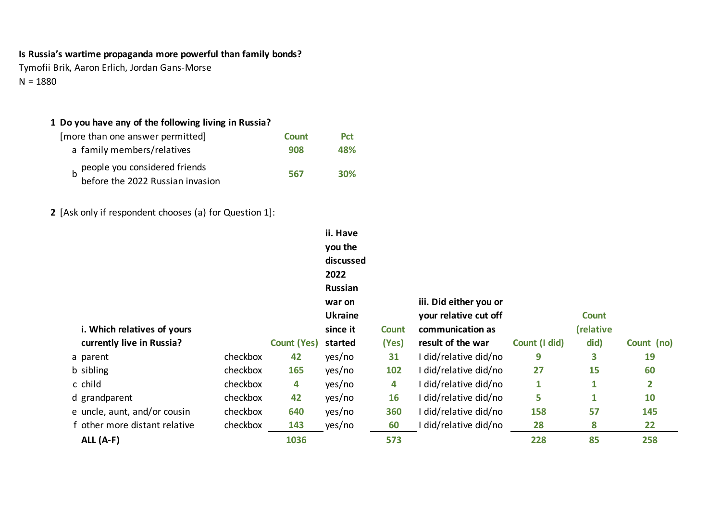# **Is Russia's wartime propaganda more powerful than family bonds?**

Tymofii Brik, Aaron Erlich, Jordan Gans-Morse  $N = 1880$ 

## 1 Do you have any of the following living in Russia?

| [more than one answer permitted]                                      | <b>Count</b> | <b>Pct</b> |
|-----------------------------------------------------------------------|--------------|------------|
| a family members/relatives                                            | 908          | 48%        |
| b people you considered friends<br>b before the 2022 Russian invasion | 567          | <b>30%</b> |
|                                                                       |              |            |

**2** [Ask only if respondent chooses (a) for Question 1]:

|                               |          |                    | ii. Have<br>you the<br>discussed<br>2022   |              |                                                 |               |              |                |
|-------------------------------|----------|--------------------|--------------------------------------------|--------------|-------------------------------------------------|---------------|--------------|----------------|
|                               |          |                    | <b>Russian</b><br>war on<br><b>Ukraine</b> |              | iii. Did either you or<br>your relative cut off |               | <b>Count</b> |                |
| i. Which relatives of yours   |          |                    | since it                                   | <b>Count</b> | communication as                                |               | (relative    |                |
| currently live in Russia?     |          | <b>Count (Yes)</b> | started                                    | (Yes)        | result of the war                               | Count (I did) | did)         | Count (no)     |
| a parent                      | checkbox | 42                 | yes/no                                     | 31           | I did/relative did/no                           | 9             | 3            | 19             |
| b sibling                     | checkbox | 165                | yes/no                                     | 102          | I did/relative did/no                           | 27            | 15           | 60             |
| c child                       | checkbox | 4                  | yes/no                                     | 4            | I did/relative did/no                           | $\mathbf{1}$  | $\mathbf{1}$ | $\overline{2}$ |
| d grandparent                 | checkbox | 42                 | yes/no                                     | 16           | I did/relative did/no                           | 5             | $\mathbf{1}$ | 10             |
| e uncle, aunt, and/or cousin  | checkbox | 640                | yes/no                                     | 360          | I did/relative did/no                           | 158           | 57           | 145            |
| f other more distant relative | checkbox | 143                | yes/no                                     | 60           | did/relative did/no                             | 28            | 8            | 22             |
| ALL $(A-F)$                   |          | 1036               |                                            | 573          |                                                 | 228           | 85           | 258            |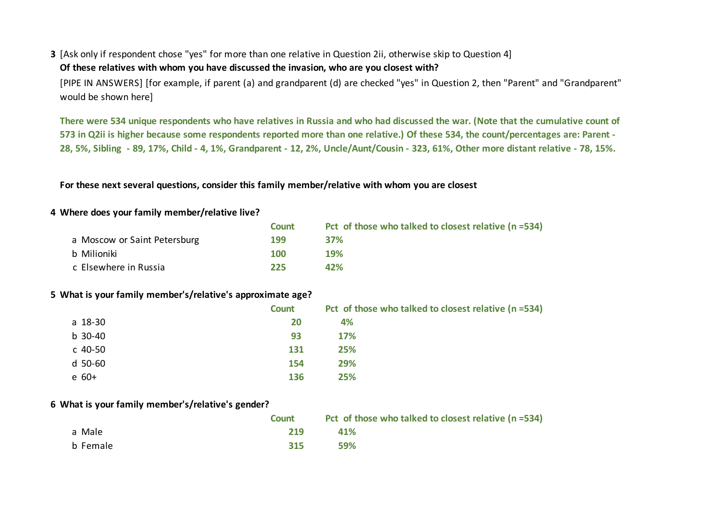### **3** [Ask only if respondent chose "yes" for more than one relative in Question 2ii, otherwise skip to Question 4]

#### Of these relatives with whom you have discussed the invasion, who are you closest with?

[PIPE IN ANSWERS] [for example, if parent (a) and grandparent (d) are checked "yes" in Question 2, then "Parent" and "Grandparent" would be shown here]

There were 534 unique respondents who have relatives in Russia and who had discussed the war. (Note that the cumulative count of 573 in Q2ii is higher because some respondents reported more than one relative.) Of these 534, the count/percentages are: Parent -28, 5%, Sibling - 89, 17%, Child - 4, 1%, Grandparent - 12, 2%, Uncle/Aunt/Cousin - 323, 61%, Other more distant relative - 78, 15%.

For these next several questions, consider this family member/relative with whom you are closest

### 4 Where does your family member/relative live?

|                              | <b>Count</b> | Pct of those who talked to closest relative $(n=534)$ |
|------------------------------|--------------|-------------------------------------------------------|
| a Moscow or Saint Petersburg | 199          | <b>37%</b>                                            |
| b Milioniki                  | 100          | 19%                                                   |
| c Elsewhere in Russia        | 225          | 42%                                                   |

### **5** What is your family member's/relative's approximate age?

|           | Count | Pct of those who talked to closest relative (n =534) |
|-----------|-------|------------------------------------------------------|
| a 18-30   | 20    | 4%                                                   |
| $b$ 30-40 | 93    | <b>17%</b>                                           |
| c 40-50   | 131   | 25%                                                  |
| d 50-60   | 154   | 29%                                                  |
| $e$ 60+   | 136   | 25%                                                  |

#### **6 What is your family member's/relative's gender?**

|          | <b>Count</b> | Pct of those who talked to closest relative (n =534) |
|----------|--------------|------------------------------------------------------|
| a Male   | 219          | <b>41%</b>                                           |
| b Female | 315          | 59%                                                  |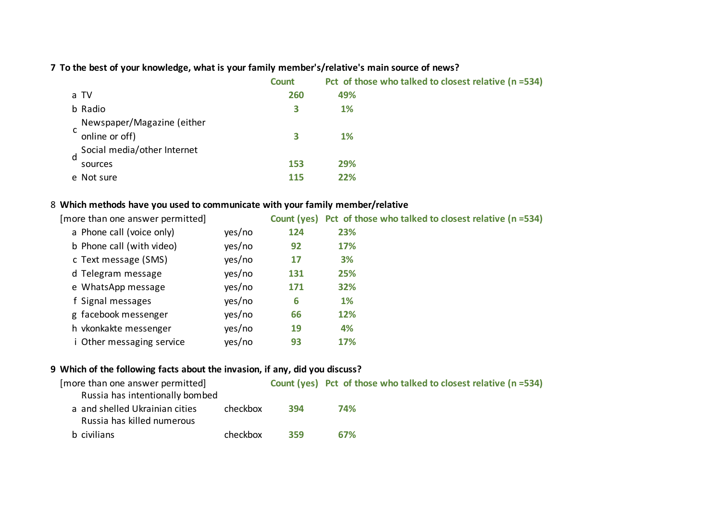7 To the best of your knowledge, what is your family member's/relative's main source of news?

|                             | Count | Pct of those who talked to closest relative (n =534) |
|-----------------------------|-------|------------------------------------------------------|
| a TV                        | 260   | 49%                                                  |
| b Radio                     | 3     | 1%                                                   |
| Newspaper/Magazine (either  |       |                                                      |
| online or off)              | 3     | 1%                                                   |
| Social media/other Internet |       |                                                      |
| sources                     | 153   | 29%                                                  |
| e Not sure                  | 115   | 22%                                                  |
|                             |       |                                                      |

## 8 Which methods have you used to communicate with your family member/relative

| [more than one answer permitted] |        |     | Count (yes) Pct of those who talked to closest relative (n =534) |
|----------------------------------|--------|-----|------------------------------------------------------------------|
| a Phone call (voice only)        | yes/no | 124 | 23%                                                              |
| b Phone call (with video)        | yes/no | 92  | 17%                                                              |
| c Text message (SMS)             | yes/no | 17  | 3%                                                               |
| d Telegram message               | yes/no | 131 | 25%                                                              |
| e WhatsApp message               | yes/no | 171 | 32%                                                              |
| f Signal messages                | yes/no | 6   | <b>1%</b>                                                        |
| g facebook messenger             | yes/no | 66  | 12%                                                              |
| h vkonkakte messenger            | yes/no | 19  | 4%                                                               |
| i Other messaging service        | yes/no | 93  | 17%                                                              |
|                                  |        |     |                                                                  |

## **9** Which of the following facts about the invasion, if any, did you discuss?

| [more than one answer permitted] |          |     | Count (yes) Pct of those who talked to closest relative (n =534) |
|----------------------------------|----------|-----|------------------------------------------------------------------|
| Russia has intentionally bombed  |          |     |                                                                  |
| a and shelled Ukrainian cities   | checkbox | 394 | 74%                                                              |
| Russia has killed numerous       |          |     |                                                                  |
| b civilians                      | checkbox | 359 | 67%                                                              |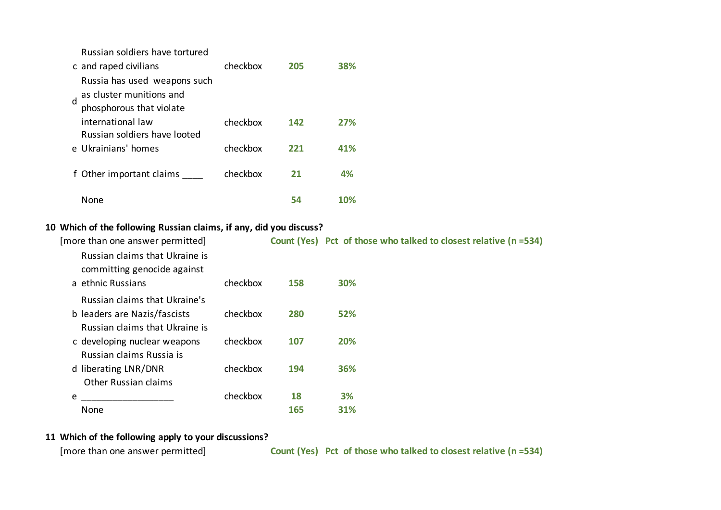Russian soldiers have tortured

|   | c and raped civilians        | checkbox | 205 | 38% |
|---|------------------------------|----------|-----|-----|
|   | Russia has used weapons such |          |     |     |
| d | as cluster munitions and     |          |     |     |
|   | phosphorous that violate     |          |     |     |
|   | international law            | checkbox | 142 | 27% |
|   | Russian soldiers have looted |          |     |     |
|   | e Ukrainians' homes          | checkbox | 221 | 41% |
|   |                              |          |     |     |
|   |                              |          |     | 4%  |
|   | None                         |          | 54  |     |
|   | f Other important claims     | checkbox | 21  |     |

### 10 Which of the following Russian claims, if any, did you discuss?

| [more than one answer permitted]                                                   |          |     | Count (Yes) Pct of those who talked to closest relative (n =534) |
|------------------------------------------------------------------------------------|----------|-----|------------------------------------------------------------------|
| Russian claims that Ukraine is<br>committing genocide against<br>a ethnic Russians | checkbox | 158 | <b>30%</b>                                                       |
| Russian claims that Ukraine's                                                      |          |     |                                                                  |
| b leaders are Nazis/fascists<br>Russian claims that Ukraine is                     | checkbox | 280 | 52%                                                              |
| c developing nuclear weapons<br>Russian claims Russia is                           | checkbox | 107 | 20%                                                              |
| d liberating LNR/DNR<br><b>Other Russian claims</b>                                | checkbox | 194 | 36%                                                              |
| e                                                                                  | checkbox | 18  | 3%                                                               |
| None                                                                               |          | 165 | 31%                                                              |

### 11 Which of the following apply to your discussions?

[more than one answer permitted] **Count (Yes)** Pct of those who talked to closest relative (n =534)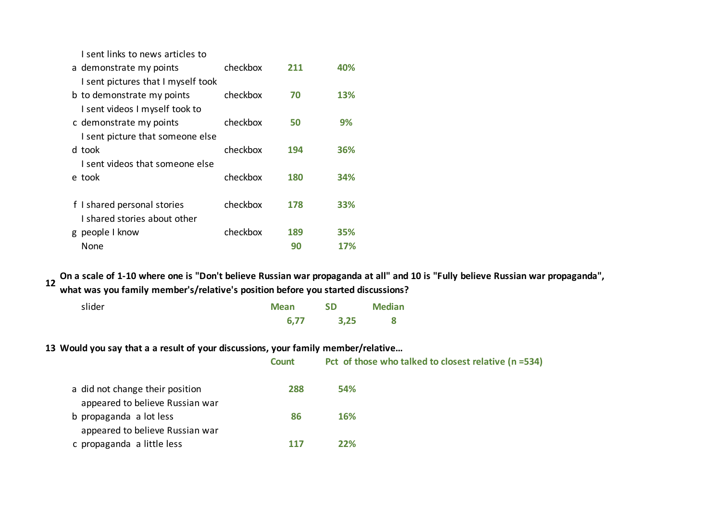I sent links to news articles to

| a demonstrate my points            | checkbox | 211 | 40% |
|------------------------------------|----------|-----|-----|
| I sent pictures that I myself took |          |     |     |
| b to demonstrate my points         | checkbox | 70  | 13% |
| I sent videos I myself took to     |          |     |     |
| c demonstrate my points            | checkbox | 50  | 9%  |
| I sent picture that someone else   |          |     |     |
| d took                             | checkbox | 194 | 36% |
| I sent videos that someone else    |          |     |     |
| e took                             | checkbox | 180 | 34% |
|                                    |          |     |     |
| f I shared personal stories        | checkbox | 178 | 33% |
| I shared stories about other       |          |     |     |
| g people I know                    | checkbox | 189 | 35% |
| None                               |          | 90  | 17% |

**12** On a scale of 1-10 where one is "Don't believe Russian war propaganda at all" and 10 is "Fully believe Russian war propaganda", what was you family member's/relative's position before you started discussions?

| slider | <b>Mean</b> | <b>SD</b> | <b>Median</b> |
|--------|-------------|-----------|---------------|
|        | 6,77        | 3,25      |               |

13 Would you say that a a result of your discussions, your family member/relative...

|                                                                    | <b>Count</b> | Pct of those who talked to closest relative (n =534) |
|--------------------------------------------------------------------|--------------|------------------------------------------------------|
| a did not change their position<br>appeared to believe Russian war | 288          | <b>54%</b>                                           |
| b propaganda a lot less                                            | 86           | <b>16%</b>                                           |
| appeared to believe Russian war<br>c propaganda a little less      | 117          | 22%                                                  |